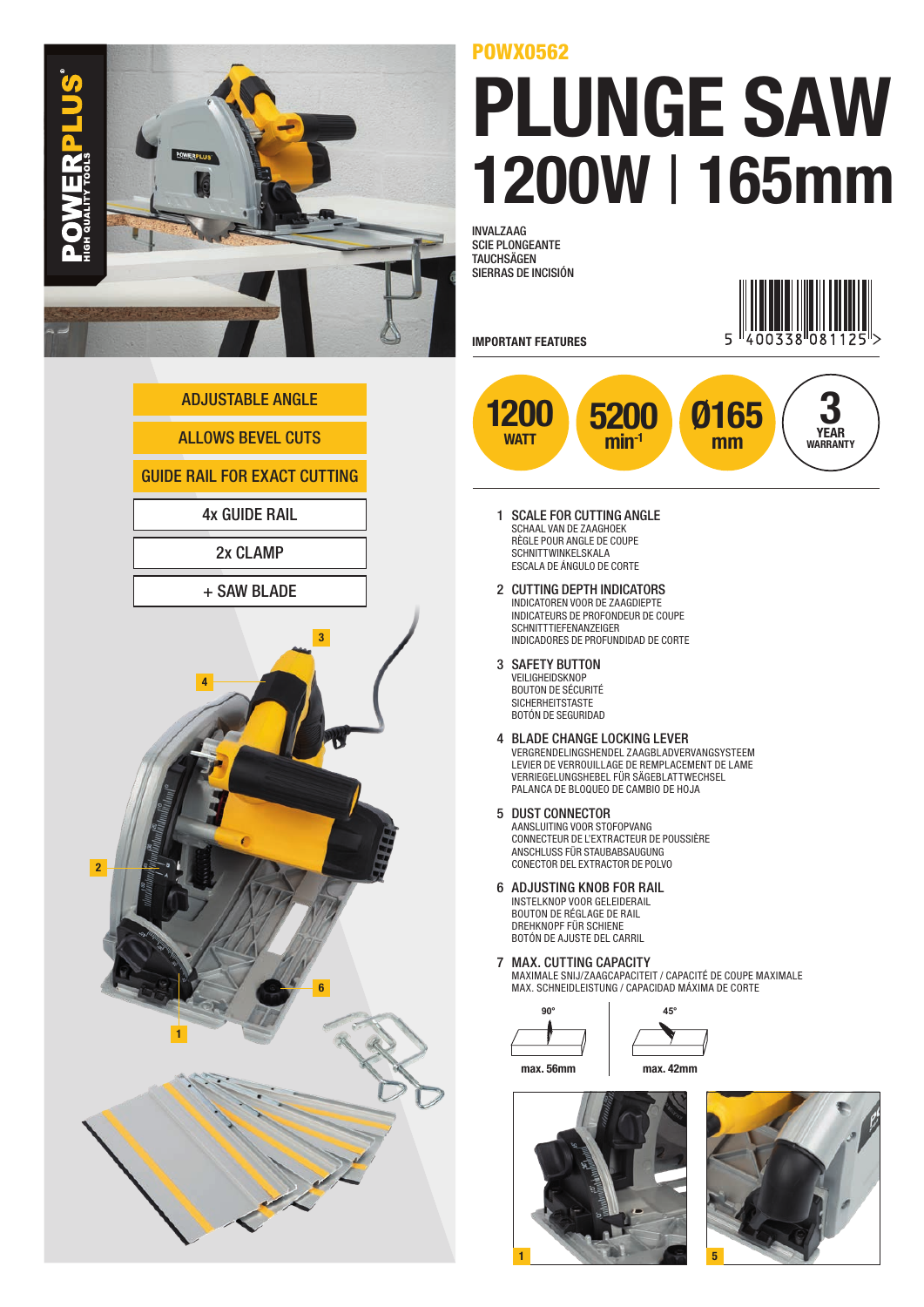

## **ALLOWS BEVEL CUTS** GUIDE RAIL FOR EXACT CUTTING ADJUSTABLE ANGLE 2x CLAMP + SAW BLADE 4x GUIDE RAIL **1 SCALE FOR CUTTING ANGLE** 2 4 1 6 3

## POWX0562

## PLUNGE SAW 1200W | 165mm

INVALZAAG SCIE PLONGEANTE **TAUCHSÄGEN** SIERRAS DE INCISIÓN



- SCHAAL VAN DE ZAAGHOEK RÈGLE POUR ANGLE DE COUPE SCHNITTWINKELSKALA ESCALA DE ÁNGULO DE CORTE
- 2 CUTTING DEPTH INDICATORS INDICATOREN VOOR DE ZAAGDIEPTE INDICATEURS DE PROFONDEUR DE COUPE SCHNITTTIEFENANZEIGER INDICADORES DE PROFUNDIDAD DE CORTE
- 3 SAFETY BUTTON VEILIGHEIDSKNOP

BOUTON DE SÉCURITÉ SICHERHEITSTASTE BOTÓN DE SEGURIDAD

- 4 BLADE CHANGE LOCKING LEVER VERGRENDELINGSHENDEL ZAAGBLADVERVANGSYSTEEM LEVIER DE VERROUILLAGE DE REMPLACEMENT DE LAME VERRIEGELUNGSHEBEL FÜR SÄGEBLATTWECHSEL PALANCA DE BLOQUEO DE CAMBIO DE HOJA
- 5 DUST CONNECTOR AANSLUITING VOOR STOFOPVANG CONNECTEUR DE L'EXTRACTEUR DE POUSSIÈRE ANSCHLUSS FÜR STAUBABSAUGUNG CONECTOR DEL EXTRACTOR DE POLVO
- 6 ADJUSTING KNOB FOR RAIL INSTELKNOP VOOR GELEIDERAIL BOUTON DE RÉGLAGE DE RAIL DREHKNOPF FÜR SCHIENE BOTÓN DE AJUSTE DEL CARRIL

7 MAX. CUTTING CAPACITY MAXIMALE SNIJ/ZAAGCAPACITEIT / CAPACITÉ DE COUPE MAXIMALE MAX. SCHNEIDLEISTUNG / CAPACIDAD MÁXIMA DE CORTE